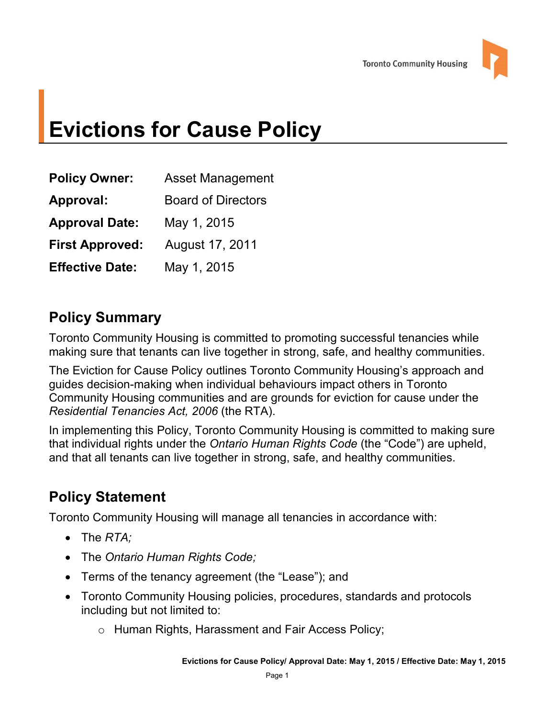# **Evictions for Cause Policy**

| <b>Asset Management</b>   |
|---------------------------|
| <b>Board of Directors</b> |
| May 1, 2015               |
| August 17, 2011           |
| May 1, 2015               |
|                           |

# **Policy Summary**

 making sure that tenants can live together in strong, safe, and healthy communities. Toronto Community Housing is committed to promoting successful tenancies while

 The Eviction for Cause Policy outlines Toronto Community Housing's approach and guides decision-making when individual behaviours impact others in Toronto Community Housing communities and are grounds for eviction for cause under the *Residential Tenancies Act, 2006* (the RTA).

 and that all tenants can live together in strong, safe, and healthy communities. In implementing this Policy, Toronto Community Housing is committed to making sure that individual rights under the *Ontario Human Rights Code* (the "Code") are upheld,

# **Policy Statement**

Toronto Community Housing will manage all tenancies in accordance with:

- The *RTA*;
- The *Ontario Human Rights Code;*
- Terms of the tenancy agreement (the "Lease"); and
- Toronto Community Housing policies, procedures, standards and protocols including but not limited to:
	- o Human Rights, Harassment and Fair Access Policy;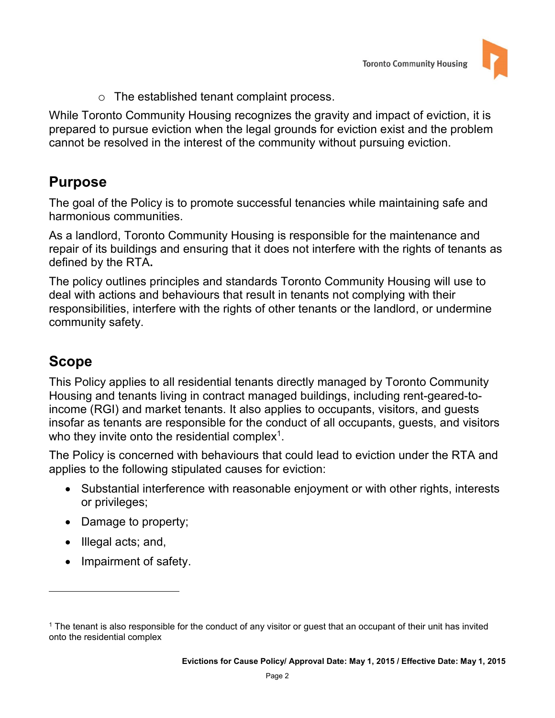

o The established tenant complaint process.

While Toronto Community Housing recognizes the gravity and impact of eviction, it is prepared to pursue eviction when the legal grounds for eviction exist and the problem cannot be resolved in the interest of the community without pursuing eviction.

# **Purpose**

The goal of the Policy is to promote successful tenancies while maintaining safe and harmonious communities.

 repair of its buildings and ensuring that it does not interfere with the rights of tenants as As a landlord, Toronto Community Housing is responsible for the maintenance and defined by the RTA**.** 

The policy outlines principles and standards Toronto Community Housing will use to deal with actions and behaviours that result in tenants not complying with their responsibilities, interfere with the rights of other tenants or the landlord, or undermine community safety.

# **Scope**

 $\overline{a}$ 

 income (RGI) and market tenants. It also applies to occupants, visitors, and guests This Policy applies to all residential tenants directly managed by Toronto Community Housing and tenants living in contract managed buildings, including rent-geared-toinsofar as tenants are responsible for the conduct of all occupants, guests, and visitors who they invite onto the residential complex<sup>1</sup>.

The Policy is concerned with behaviours that could lead to eviction under the RTA and applies to the following stipulated causes for eviction:

- Substantial interference with reasonable enjoyment or with other rights, interests or privileges;
- Damage to property;
- Illegal acts; and,
- Impairment of safety.

 1 The tenant is also responsible for the conduct of any visitor or guest that an occupant of their unit has invited onto the residential complex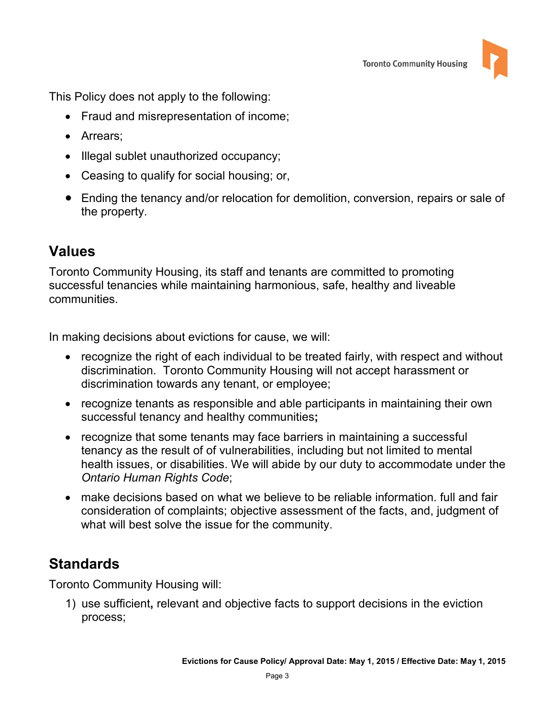

This Policy does not apply to the following:

- Fraud and misrepresentation of income;
- Arrears:
- Illegal sublet unauthorized occupancy;
- Ceasing to qualify for social housing; or,
- Ending the tenancy and/or relocation for demolition, conversion, repairs or sale of the property.

# **Values**

Toronto Community Housing, its staff and tenants are committed to promoting successful tenancies while maintaining harmonious, safe, healthy and liveable communities.

In making decisions about evictions for cause, we will:

- recognize the right of each individual to be treated fairly, with respect and without discrimination. Toronto Community Housing will not accept harassment or discrimination towards any tenant, or employee;
- recognize tenants as responsible and able participants in maintaining their own successful tenancy and healthy communities**;**
- tenancy as the result of of vulnerabilities, including but not limited to mental • recognize that some tenants may face barriers in maintaining a successful health issues, or disabilities. We will abide by our duty to accommodate under the *Ontario Human Rights Code*;
- make decisions based on what we believe to be reliable information. full and fair consideration of complaints; objective assessment of the facts, and, judgment of what will best solve the issue for the community.

# **Standards**

Toronto Community Housing will:

1) use sufficient**,** relevant and objective facts to support decisions in the eviction process;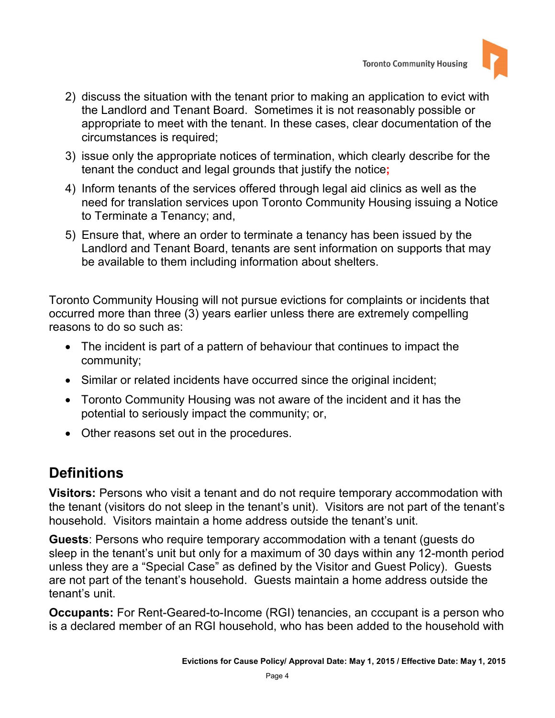

- 2) discuss the situation with the tenant prior to making an application to evict with the Landlord and Tenant Board. Sometimes it is not reasonably possible or appropriate to meet with the tenant. In these cases, clear documentation of the circumstances is required;
- 3) issue only the appropriate notices of termination, which clearly describe for the tenant the conduct and legal grounds that justify the notice**;**
- 4) Inform tenants of the services offered through legal aid clinics as well as the need for translation services upon Toronto Community Housing issuing a Notice to Terminate a Tenancy; and,
- be available to them including information about shelters. 5) Ensure that, where an order to terminate a tenancy has been issued by the Landlord and Tenant Board, tenants are sent information on supports that may

Toronto Community Housing will not pursue evictions for complaints or incidents that occurred more than three (3) years earlier unless there are extremely compelling reasons to do so such as:

- The incident is part of a pattern of behaviour that continues to impact the community;
- Similar or related incidents have occurred since the original incident;
- Toronto Community Housing was not aware of the incident and it has the potential to seriously impact the community; or,
- Other reasons set out in the procedures.

# **Definitions**

**Visitors:** Persons who visit a tenant and do not require temporary accommodation with the tenant (visitors do not sleep in the tenant's unit). Visitors are not part of the tenant's household. Visitors maintain a home address outside the tenant's unit.

 tenant's unit. **Guests**: Persons who require temporary accommodation with a tenant (guests do sleep in the tenant's unit but only for a maximum of 30 days within any 12-month period unless they are a "Special Case" as defined by the Visitor and Guest Policy). Guests are not part of the tenant's household. Guests maintain a home address outside the

**Occupants:** For Rent-Geared-to-Income (RGI) tenancies, an cccupant is a person who is a declared member of an RGI household, who has been added to the household with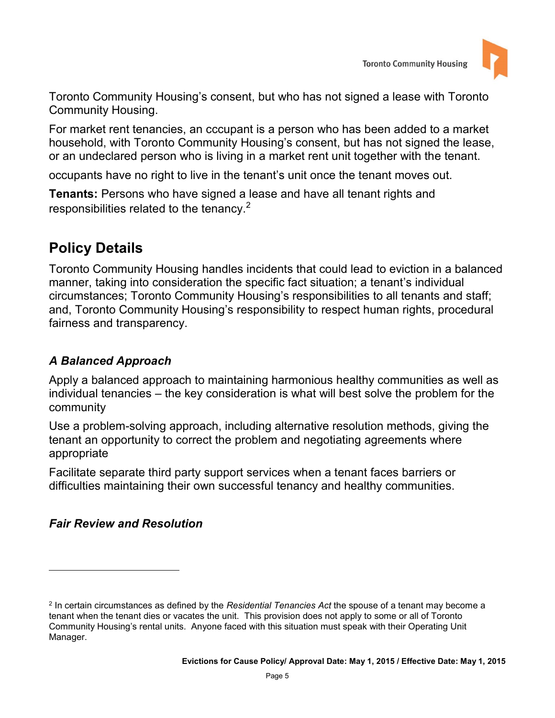

 Community Housing. Toronto Community Housing's consent, but who has not signed a lease with Toronto

For market rent tenancies, an cccupant is a person who has been added to a market household, with Toronto Community Housing's consent, but has not signed the lease, or an undeclared person who is living in a market rent unit together with the tenant.

occupants have no right to live in the tenant's unit once the tenant moves out.

 **Tenants:** Persons who have signed a lease and have all tenant rights and responsibilities related to the tenancy.<sup>2</sup>

# **Policy Details**

Toronto Community Housing handles incidents that could lead to eviction in a balanced manner, taking into consideration the specific fact situation; a tenant's individual circumstances; Toronto Community Housing's responsibilities to all tenants and staff; and, Toronto Community Housing's responsibility to respect human rights, procedural fairness and transparency.

### *A Balanced Approach*

Apply a balanced approach to maintaining harmonious healthy communities as well as individual tenancies – the key consideration is what will best solve the problem for the community

Use a problem-solving approach, including alternative resolution methods, giving the tenant an opportunity to correct the problem and negotiating agreements where appropriate

Facilitate separate third party support services when a tenant faces barriers or difficulties maintaining their own successful tenancy and healthy communities.

### *Fair Review and Resolution*

 $\overline{a}$ 

 2 In certain circumstances as defined by the *Residential Tenancies Act* the spouse of a tenant may become a tenant when the tenant dies or vacates the unit. This provision does not apply to some or all of Toronto Community Housing's rental units. Anyone faced with this situation must speak with their Operating Unit Manager.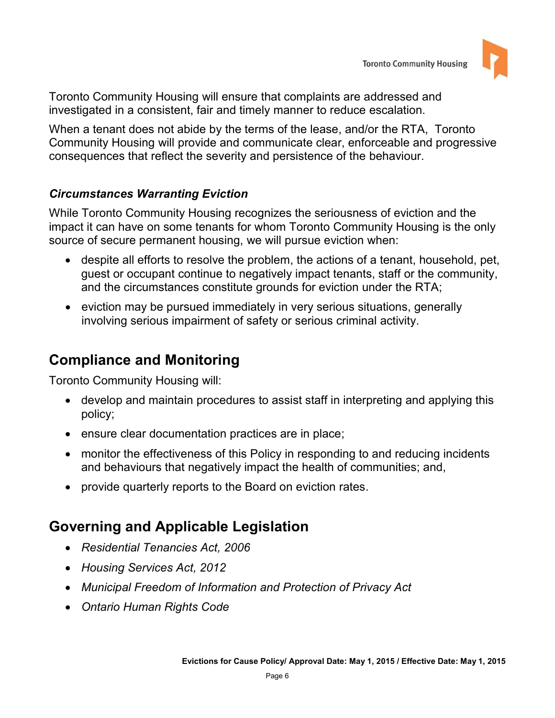

 Toronto Community Housing will ensure that complaints are addressed and investigated in a consistent, fair and timely manner to reduce escalation.

 Community Housing will provide and communicate clear, enforceable and progressive When a tenant does not abide by the terms of the lease, and/or the RTA, Toronto consequences that reflect the severity and persistence of the behaviour.

#### *Circumstances Warranting Eviction*

While Toronto Community Housing recognizes the seriousness of eviction and the impact it can have on some tenants for whom Toronto Community Housing is the only source of secure permanent housing, we will pursue eviction when:

- and the circumstances constitute grounds for eviction under the RTA; despite all efforts to resolve the problem, the actions of a tenant, household, pet, guest or occupant continue to negatively impact tenants, staff or the community,
- eviction may be pursued immediately in very serious situations, generally involving serious impairment of safety or serious criminal activity.

# **Compliance and Monitoring**

Toronto Community Housing will:

- develop and maintain procedures to assist staff in interpreting and applying this policy;
- ensure clear documentation practices are in place;
- monitor the effectiveness of this Policy in responding to and reducing incidents and behaviours that negatively impact the health of communities; and,
- provide quarterly reports to the Board on eviction rates.

# **Governing and Applicable Legislation**

- *Residential Tenancies Act, 2006*
- *Housing Services Act, 2012*
- *Municipal Freedom of Information and Protection of Privacy Act*
- *Ontario Human Rights Code*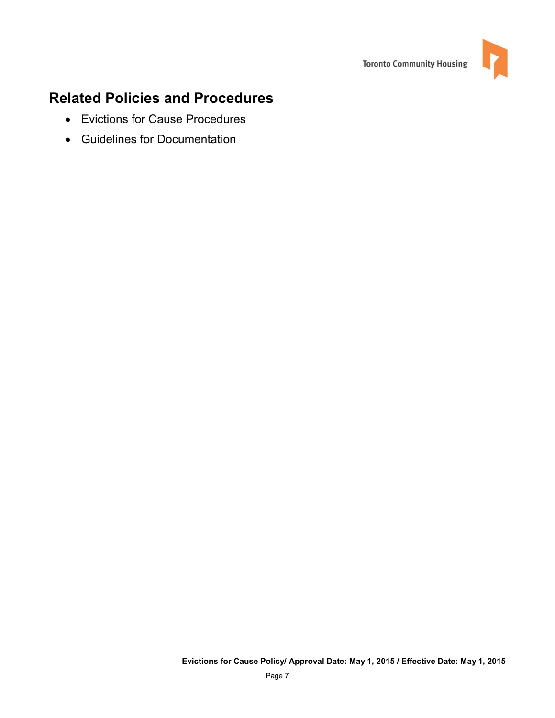

# **Related Policies and Procedures**

- Evictions for Cause Procedures
- Guidelines for Documentation